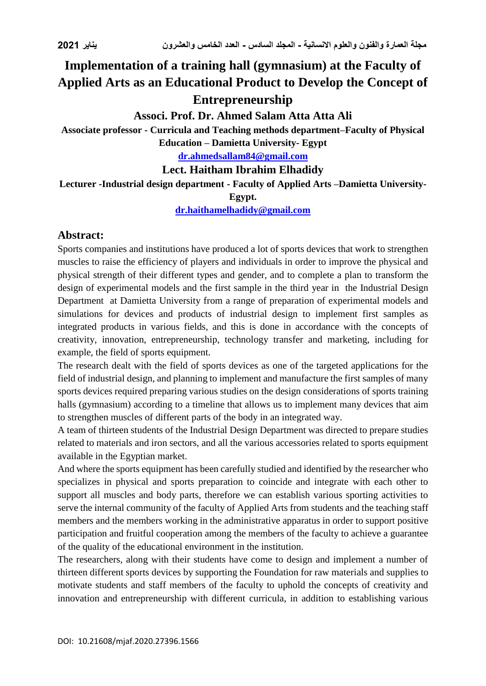# **Implementation of a training hall (gymnasium) at the Faculty of Applied Arts as an Educational Product to Develop the Concept of Entrepreneurship**

## **Associ. Prof. Dr. Ahmed Salam Atta Atta Ali**

**Associate professor - Curricula and Teaching methods department–Faculty of Physical Education – Damietta University- Egypt**

**[dr.ahmedsallam84@gmail.com](mailto:dr.ahmedsallam84@gmail.com)**

## **Lect. Haitham Ibrahim Elhadidy**

**Lecturer -Industrial design department - Faculty of Applied Arts –Damietta University-**

**Egypt.**

**[dr.haithamelhadidy@gmail.com](mailto:dr.haithamelhadidy@gmail.com)**

## **Abstract:**

Sports companies and institutions have produced a lot of sports devices that work to strengthen muscles to raise the efficiency of players and individuals in order to improve the physical and physical strength of their different types and gender, and to complete a plan to transform the design of experimental models and the first sample in the third year in the Industrial Design Department at Damietta University from a range of preparation of experimental models and simulations for devices and products of industrial design to implement first samples as integrated products in various fields, and this is done in accordance with the concepts of creativity, innovation, entrepreneurship, technology transfer and marketing, including for example, the field of sports equipment.

The research dealt with the field of sports devices as one of the targeted applications for the field of industrial design, and planning to implement and manufacture the first samples of many sports devices required preparing various studies on the design considerations of sports training halls (gymnasium) according to a timeline that allows us to implement many devices that aim to strengthen muscles of different parts of the body in an integrated way.

A team of thirteen students of the Industrial Design Department was directed to prepare studies related to materials and iron sectors, and all the various accessories related to sports equipment available in the Egyptian market.

And where the sports equipment has been carefully studied and identified by the researcher who specializes in physical and sports preparation to coincide and integrate with each other to support all muscles and body parts, therefore we can establish various sporting activities to serve the internal community of the faculty of Applied Arts from students and the teaching staff members and the members working in the administrative apparatus in order to support positive participation and fruitful cooperation among the members of the faculty to achieve a guarantee of the quality of the educational environment in the institution.

The researchers, along with their students have come to design and implement a number of thirteen different sports devices by supporting the Foundation for raw materials and supplies to motivate students and staff members of the faculty to uphold the concepts of creativity and innovation and entrepreneurship with different curricula, in addition to establishing various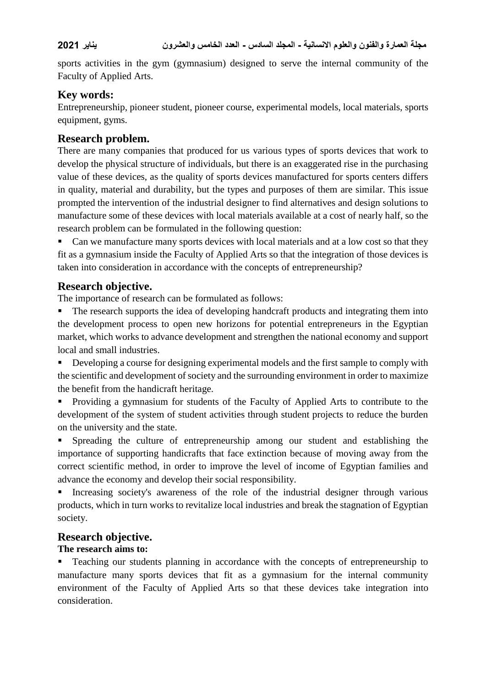sports activities in the gym (gymnasium) designed to serve the internal community of the Faculty of Applied Arts.

## **Key words:**

Entrepreneurship, pioneer student, pioneer course, experimental models, local materials, sports equipment, gyms.

## **Research problem.**

There are many companies that produced for us various types of sports devices that work to develop the physical structure of individuals, but there is an exaggerated rise in the purchasing value of these devices, as the quality of sports devices manufactured for sports centers differs in quality, material and durability, but the types and purposes of them are similar. This issue prompted the intervention of the industrial designer to find alternatives and design solutions to manufacture some of these devices with local materials available at a cost of nearly half, so the research problem can be formulated in the following question:

 Can we manufacture many sports devices with local materials and at a low cost so that they fit as a gymnasium inside the Faculty of Applied Arts so that the integration of those devices is taken into consideration in accordance with the concepts of entrepreneurship?

## **Research objective.**

The importance of research can be formulated as follows:

 The research supports the idea of developing handcraft products and integrating them into the development process to open new horizons for potential entrepreneurs in the Egyptian market, which works to advance development and strengthen the national economy and support local and small industries.

Developing a course for designing experimental models and the first sample to comply with the scientific and development of society and the surrounding environment in order to maximize the benefit from the handicraft heritage.

 Providing a gymnasium for students of the Faculty of Applied Arts to contribute to the development of the system of student activities through student projects to reduce the burden on the university and the state.

 Spreading the culture of entrepreneurship among our student and establishing the importance of supporting handicrafts that face extinction because of moving away from the correct scientific method, in order to improve the level of income of Egyptian families and advance the economy and develop their social responsibility.

 Increasing society's awareness of the role of the industrial designer through various products, which in turn works to revitalize local industries and break the stagnation of Egyptian society.

### **Research objective.**

### **The research aims to:**

 Teaching our students planning in accordance with the concepts of entrepreneurship to manufacture many sports devices that fit as a gymnasium for the internal community environment of the Faculty of Applied Arts so that these devices take integration into consideration.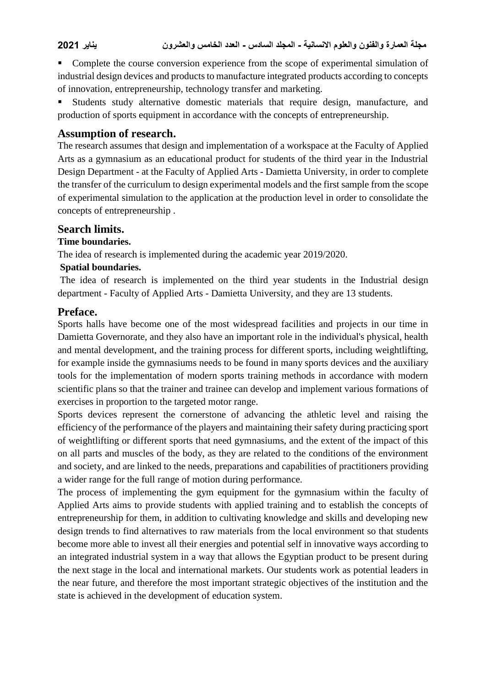Complete the course conversion experience from the scope of experimental simulation of industrial design devices and products to manufacture integrated products according to concepts of innovation, entrepreneurship, technology transfer and marketing.

 Students study alternative domestic materials that require design, manufacture, and production of sports equipment in accordance with the concepts of entrepreneurship.

### **Assumption of research.**

The research assumes that design and implementation of a workspace at the Faculty of Applied Arts as a gymnasium as an educational product for students of the third year in the Industrial Design Department - at the Faculty of Applied Arts - Damietta University, in order to complete the transfer of the curriculum to design experimental models and the first sample from the scope of experimental simulation to the application at the production level in order to consolidate the concepts of entrepreneurship .

#### **Search limits.**

#### **Time boundaries.**

The idea of research is implemented during the academic year 2019/2020.

#### **Spatial boundaries.**

The idea of research is implemented on the third year students in the Industrial design department - Faculty of Applied Arts - Damietta University, and they are 13 students.

#### **Preface.**

Sports halls have become one of the most widespread facilities and projects in our time in Damietta Governorate, and they also have an important role in the individual's physical, health and mental development, and the training process for different sports, including weightlifting, for example inside the gymnasiums needs to be found in many sports devices and the auxiliary tools for the implementation of modern sports training methods in accordance with modern scientific plans so that the trainer and trainee can develop and implement various formations of exercises in proportion to the targeted motor range.

Sports devices represent the cornerstone of advancing the athletic level and raising the efficiency of the performance of the players and maintaining their safety during practicing sport of weightlifting or different sports that need gymnasiums, and the extent of the impact of this on all parts and muscles of the body, as they are related to the conditions of the environment and society, and are linked to the needs, preparations and capabilities of practitioners providing a wider range for the full range of motion during performance.

The process of implementing the gym equipment for the gymnasium within the faculty of Applied Arts aims to provide students with applied training and to establish the concepts of entrepreneurship for them, in addition to cultivating knowledge and skills and developing new design trends to find alternatives to raw materials from the local environment so that students become more able to invest all their energies and potential self in innovative ways according to an integrated industrial system in a way that allows the Egyptian product to be present during the next stage in the local and international markets. Our students work as potential leaders in the near future, and therefore the most important strategic objectives of the institution and the state is achieved in the development of education system.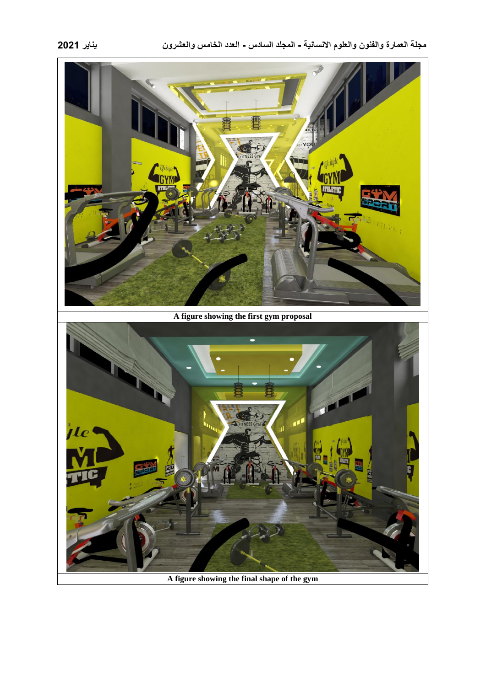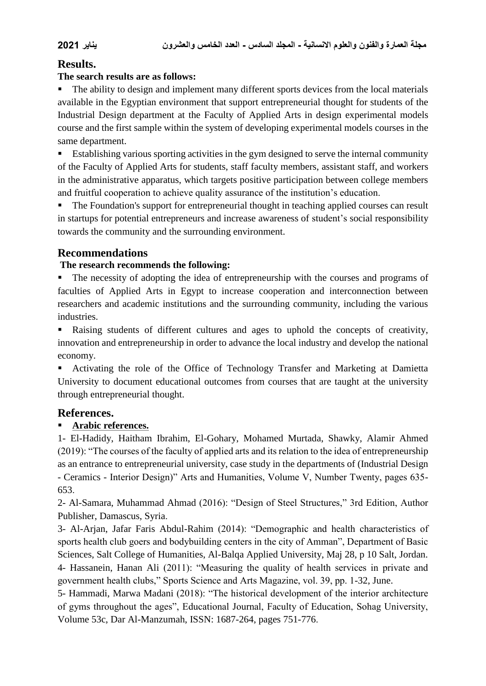## **Results.**

### **The search results are as follows:**

• The ability to design and implement many different sports devices from the local materials available in the Egyptian environment that support entrepreneurial thought for students of the Industrial Design department at the Faculty of Applied Arts in design experimental models course and the first sample within the system of developing experimental models courses in the same department.

 Establishing various sporting activities in the gym designed to serve the internal community of the Faculty of Applied Arts for students, staff faculty members, assistant staff, and workers in the administrative apparatus, which targets positive participation between college members and fruitful cooperation to achieve quality assurance of the institution's education.

 The Foundation's support for entrepreneurial thought in teaching applied courses can result in startups for potential entrepreneurs and increase awareness of student's social responsibility towards the community and the surrounding environment.

## **Recommendations**

### **The research recommends the following:**

 The necessity of adopting the idea of entrepreneurship with the courses and programs of faculties of Applied Arts in Egypt to increase cooperation and interconnection between researchers and academic institutions and the surrounding community, including the various industries.

 Raising students of different cultures and ages to uphold the concepts of creativity, innovation and entrepreneurship in order to advance the local industry and develop the national economy.

 Activating the role of the Office of Technology Transfer and Marketing at Damietta University to document educational outcomes from courses that are taught at the university through entrepreneurial thought.

### **References.**

### **Arabic references.**

1- El-Hadidy, Haitham Ibrahim, El-Gohary, Mohamed Murtada, Shawky, Alamir Ahmed (2019): "The courses of the faculty of applied arts and its relation to the idea of entrepreneurship as an entrance to entrepreneurial university, case study in the departments of (Industrial Design - Ceramics - Interior Design)" Arts and Humanities, Volume V, Number Twenty, pages 635- 653.

2- Al-Samara, Muhammad Ahmad (2016): "Design of Steel Structures," 3rd Edition, Author Publisher, Damascus, Syria.

3- Al-Arjan, Jafar Faris Abdul-Rahim (2014): "Demographic and health characteristics of sports health club goers and bodybuilding centers in the city of Amman", Department of Basic Sciences, Salt College of Humanities, Al-Balqa Applied University, Maj 28, p 10 Salt, Jordan. 4- Hassanein, Hanan Ali (2011): "Measuring the quality of health services in private and government health clubs," Sports Science and Arts Magazine, vol. 39, pp. 1-32, June.

5- Hammadi, Marwa Madani (2018): "The historical development of the interior architecture of gyms throughout the ages", Educational Journal, Faculty of Education, Sohag University, Volume 53c, Dar Al-Manzumah, ISSN: 1687-264, pages 751-776.